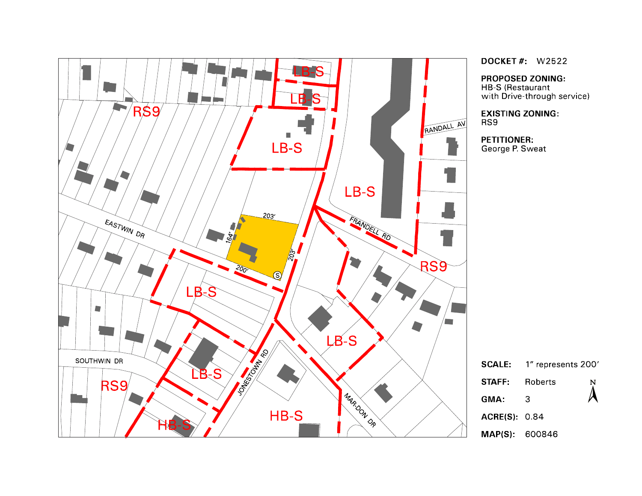

**DOCKET #: W2522** 

**PROPOSED ZONING:** 

HB-S (Restaurant<br>with Drive-through service)

**EXISTING ZONING:** RS9

**PETITIONER:** George P. Sweat

|                       | <b>SCALE:</b> 1" represents 200' |                  |
|-----------------------|----------------------------------|------------------|
| STAFF:                | Roberts                          | $\sum_{i=1}^{N}$ |
| GMA:                  | З                                |                  |
| <b>ACRE(S)</b> 0.84   |                                  |                  |
| <b>MAP(S): 600846</b> |                                  |                  |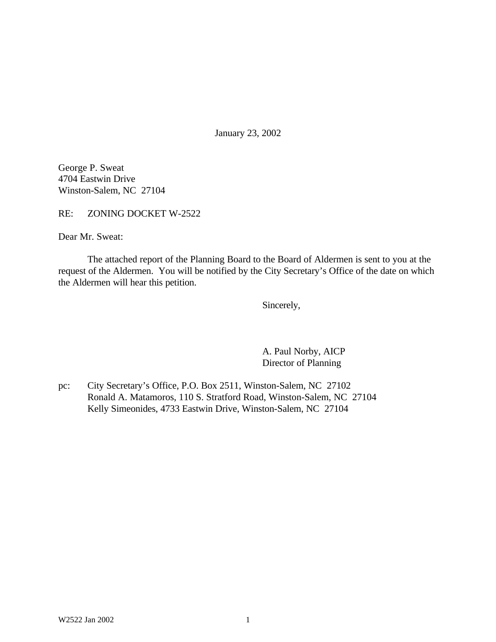January 23, 2002

George P. Sweat 4704 Eastwin Drive Winston-Salem, NC 27104

RE: ZONING DOCKET W-2522

Dear Mr. Sweat:

The attached report of the Planning Board to the Board of Aldermen is sent to you at the request of the Aldermen. You will be notified by the City Secretary's Office of the date on which the Aldermen will hear this petition.

Sincerely,

A. Paul Norby, AICP Director of Planning

pc: City Secretary's Office, P.O. Box 2511, Winston-Salem, NC 27102 Ronald A. Matamoros, 110 S. Stratford Road, Winston-Salem, NC 27104 Kelly Simeonides, 4733 Eastwin Drive, Winston-Salem, NC 27104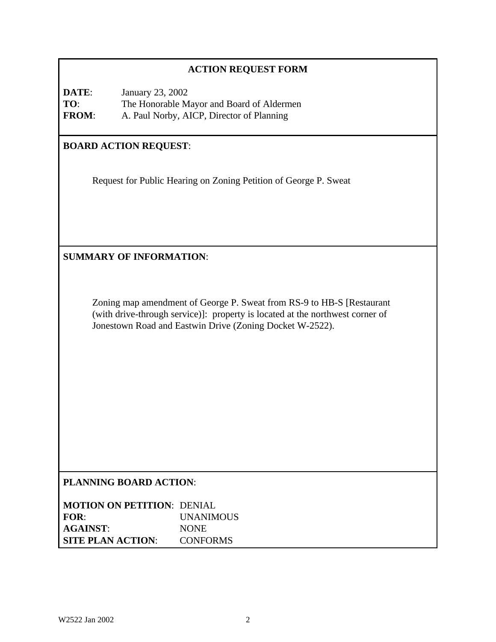# **ACTION REQUEST FORM**

**DATE**: January 23, 2002 **TO**: The Honorable Mayor and Board of Aldermen **FROM**: A. Paul Norby, AICP, Director of Planning

# **BOARD ACTION REQUEST**:

Request for Public Hearing on Zoning Petition of George P. Sweat

**SUMMARY OF INFORMATION**:

Zoning map amendment of George P. Sweat from RS-9 to HB-S [Restaurant (with drive-through service)]: property is located at the northwest corner of Jonestown Road and Eastwin Drive (Zoning Docket W-2522).

# **PLANNING BOARD ACTION**:

| <b>MOTION ON PETITION: DENIAL</b> |                  |
|-----------------------------------|------------------|
| FOR:                              | <b>UNANIMOUS</b> |
| <b>AGAINST:</b>                   | <b>NONE</b>      |
| <b>SITE PLAN ACTION:</b>          | <b>CONFORMS</b>  |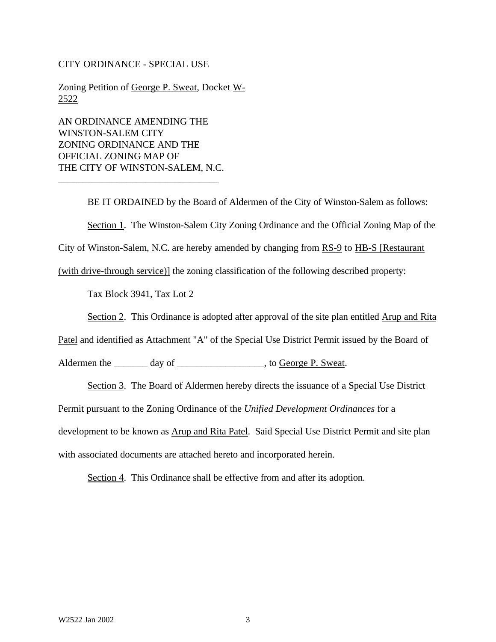#### CITY ORDINANCE - SPECIAL USE

Zoning Petition of George P. Sweat, Docket W-2522

AN ORDINANCE AMENDING THE WINSTON-SALEM CITY ZONING ORDINANCE AND THE OFFICIAL ZONING MAP OF THE CITY OF WINSTON-SALEM, N.C.

\_\_\_\_\_\_\_\_\_\_\_\_\_\_\_\_\_\_\_\_\_\_\_\_\_\_\_\_\_\_\_\_\_

BE IT ORDAINED by the Board of Aldermen of the City of Winston-Salem as follows: Section 1. The Winston-Salem City Zoning Ordinance and the Official Zoning Map of the City of Winston-Salem, N.C. are hereby amended by changing from RS-9 to HB-S [Restaurant]

(with drive-through service)] the zoning classification of the following described property:

Tax Block 3941, Tax Lot 2

Section 2. This Ordinance is adopted after approval of the site plan entitled Arup and Rita

Patel and identified as Attachment "A" of the Special Use District Permit issued by the Board of

Aldermen the \_\_\_\_\_\_\_ day of \_\_\_\_\_\_\_\_\_\_\_\_\_\_\_\_\_\_\_, to George P. Sweat.

Section 3. The Board of Aldermen hereby directs the issuance of a Special Use District

Permit pursuant to the Zoning Ordinance of the *Unified Development Ordinances* for a

development to be known as Arup and Rita Patel. Said Special Use District Permit and site plan

with associated documents are attached hereto and incorporated herein.

Section 4. This Ordinance shall be effective from and after its adoption.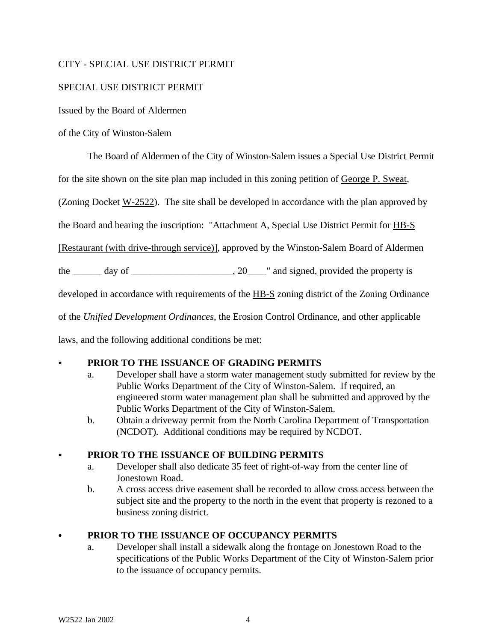## CITY - SPECIAL USE DISTRICT PERMIT

## SPECIAL USE DISTRICT PERMIT

Issued by the Board of Aldermen

## of the City of Winston-Salem

The Board of Aldermen of the City of Winston-Salem issues a Special Use District Permit

for the site shown on the site plan map included in this zoning petition of George P. Sweat,

(Zoning Docket  $W-2522$ ). The site shall be developed in accordance with the plan approved by

the Board and bearing the inscription: "Attachment A, Special Use District Permit for HB-S

[Restaurant (with drive-through service)], approved by the Winston-Salem Board of Aldermen

the  $\frac{1}{\sqrt{2}}$  day of  $\frac{1}{\sqrt{2}}$  and signed, provided the property is

developed in accordance with requirements of the HB-S zoning district of the Zoning Ordinance

of the *Unified Development Ordinances*, the Erosion Control Ordinance, and other applicable

laws, and the following additional conditions be met:

# PRIOR TO THE ISSUANCE OF GRADING PERMITS

- a. Developer shall have a storm water management study submitted for review by the Public Works Department of the City of Winston-Salem. If required, an engineered storm water management plan shall be submitted and approved by the Public Works Department of the City of Winston-Salem.
- b. Obtain a driveway permit from the North Carolina Department of Transportation (NCDOT). Additional conditions may be required by NCDOT.

# PRIOR TO THE ISSUANCE OF BUILDING PERMITS

- a. Developer shall also dedicate 35 feet of right-of-way from the center line of Jonestown Road.
- b. A cross access drive easement shall be recorded to allow cross access between the subject site and the property to the north in the event that property is rezoned to a business zoning district.

# PRIOR TO THE ISSUANCE OF OCCUPANCY PERMITS

a. Developer shall install a sidewalk along the frontage on Jonestown Road to the specifications of the Public Works Department of the City of Winston-Salem prior to the issuance of occupancy permits.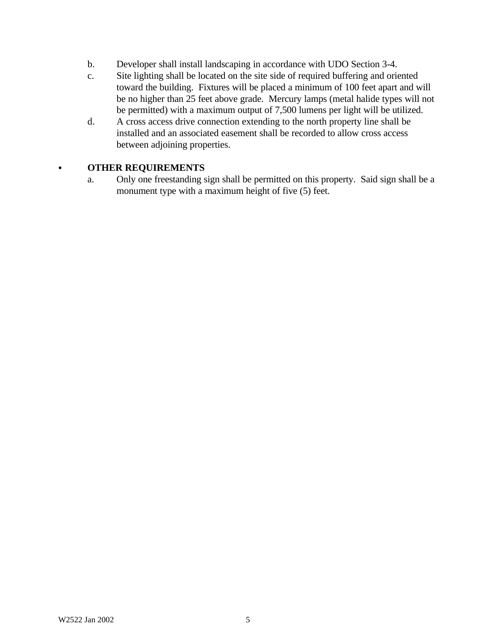- b. Developer shall install landscaping in accordance with UDO Section 3-4.
- c. Site lighting shall be located on the site side of required buffering and oriented toward the building. Fixtures will be placed a minimum of 100 feet apart and will be no higher than 25 feet above grade. Mercury lamps (metal halide types will not be permitted) with a maximum output of 7,500 lumens per light will be utilized.
- d. A cross access drive connection extending to the north property line shall be installed and an associated easement shall be recorded to allow cross access between adjoining properties.

# C **OTHER REQUIREMENTS**

a. Only one freestanding sign shall be permitted on this property. Said sign shall be a monument type with a maximum height of five (5) feet.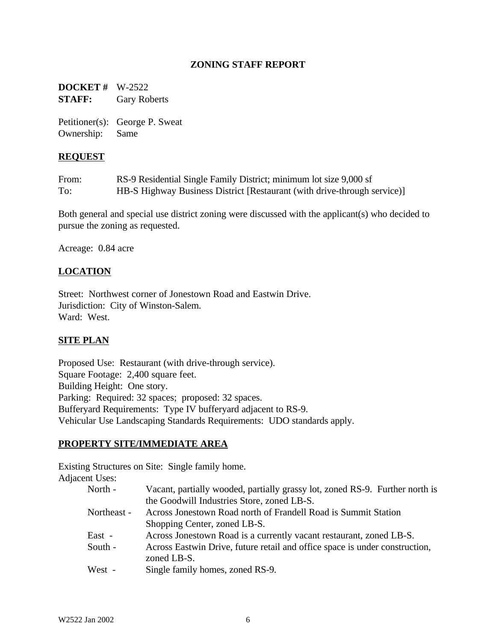## **ZONING STAFF REPORT**

**DOCKET #** W-2522 **STAFF:** Gary Roberts

Petitioner(s): George P. Sweat Ownership: Same

## **REQUEST**

| From: | RS-9 Residential Single Family District; minimum lot size 9,000 sf       |
|-------|--------------------------------------------------------------------------|
| To:   | HB-S Highway Business District [Restaurant (with drive-through service)] |

Both general and special use district zoning were discussed with the applicant(s) who decided to pursue the zoning as requested.

Acreage: 0.84 acre

# **LOCATION**

Street: Northwest corner of Jonestown Road and Eastwin Drive. Jurisdiction: City of Winston-Salem. Ward: West.

### **SITE PLAN**

Proposed Use: Restaurant (with drive-through service). Square Footage: 2,400 square feet. Building Height: One story. Parking: Required: 32 spaces; proposed: 32 spaces. Bufferyard Requirements: Type IV bufferyard adjacent to RS-9. Vehicular Use Landscaping Standards Requirements: UDO standards apply.

### **PROPERTY SITE/IMMEDIATE AREA**

Existing Structures on Site: Single family home. Adjacent

| nt Uses:    |                                                                              |
|-------------|------------------------------------------------------------------------------|
| North -     | Vacant, partially wooded, partially grassy lot, zoned RS-9. Further north is |
|             | the Goodwill Industries Store, zoned LB-S.                                   |
| Northeast - | Across Jonestown Road north of Frandell Road is Summit Station               |
|             | Shopping Center, zoned LB-S.                                                 |
| East -      | Across Jonestown Road is a currently vacant restaurant, zoned LB-S.          |
| South -     | Across Eastwin Drive, future retail and office space is under construction,  |
|             | zoned LB-S.                                                                  |
| West -      | Single family homes, zoned RS-9.                                             |
|             |                                                                              |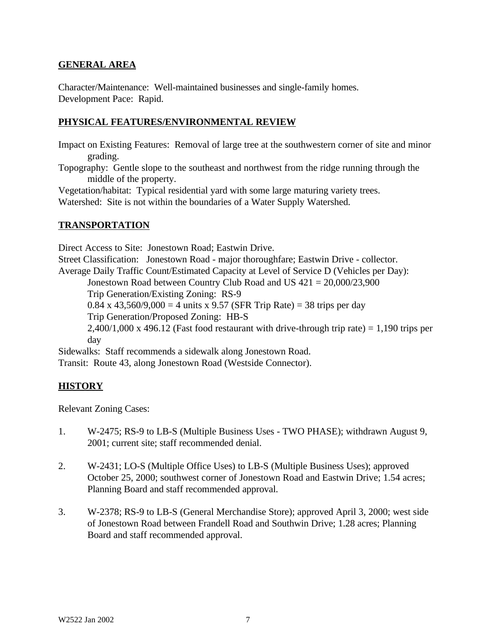## **GENERAL AREA**

Character/Maintenance: Well-maintained businesses and single-family homes. Development Pace: Rapid.

## **PHYSICAL FEATURES/ENVIRONMENTAL REVIEW**

Impact on Existing Features: Removal of large tree at the southwestern corner of site and minor grading.

Topography: Gentle slope to the southeast and northwest from the ridge running through the middle of the property.

Vegetation/habitat: Typical residential yard with some large maturing variety trees. Watershed: Site is not within the boundaries of a Water Supply Watershed.

### **TRANSPORTATION**

Direct Access to Site: Jonestown Road; Eastwin Drive. Street Classification: Jonestown Road - major thoroughfare; Eastwin Drive - collector. Average Daily Traffic Count/Estimated Capacity at Level of Service D (Vehicles per Day): Jonestown Road between Country Club Road and US 421 = 20,000/23,900 Trip Generation/Existing Zoning: RS-9 0.84 x 43,560/9,000 = 4 units x 9.57 (SFR Trip Rate) = 38 trips per day Trip Generation/Proposed Zoning: HB-S  $2,400/1,000 \times 496.12$  (Fast food restaurant with drive-through trip rate) = 1,190 trips per day Sidewalks: Staff recommends a sidewalk along Jonestown Road. Transit: Route 43, along Jonestown Road (Westside Connector).

# **HISTORY**

Relevant Zoning Cases:

- 1. W-2475; RS-9 to LB-S (Multiple Business Uses TWO PHASE); withdrawn August 9, 2001; current site; staff recommended denial.
- 2. W-2431; LO-S (Multiple Office Uses) to LB-S (Multiple Business Uses); approved October 25, 2000; southwest corner of Jonestown Road and Eastwin Drive; 1.54 acres; Planning Board and staff recommended approval.
- 3. W-2378; RS-9 to LB-S (General Merchandise Store); approved April 3, 2000; west side of Jonestown Road between Frandell Road and Southwin Drive; 1.28 acres; Planning Board and staff recommended approval.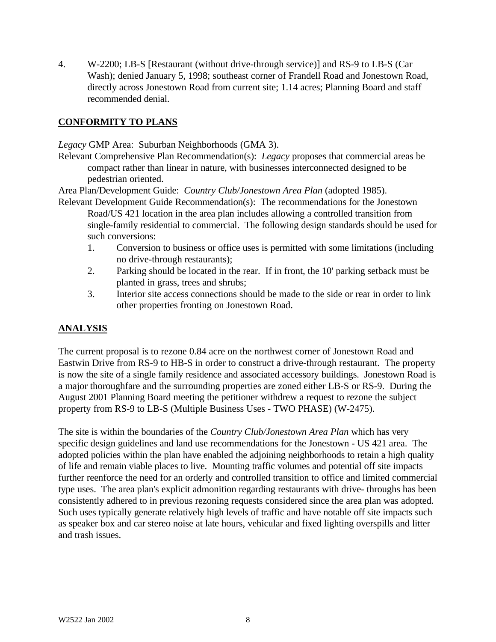4. W-2200; LB-S [Restaurant (without drive-through service)] and RS-9 to LB-S (Car Wash); denied January 5, 1998; southeast corner of Frandell Road and Jonestown Road, directly across Jonestown Road from current site; 1.14 acres; Planning Board and staff recommended denial.

# **CONFORMITY TO PLANS**

*Legacy* GMP Area: Suburban Neighborhoods (GMA 3).

Relevant Comprehensive Plan Recommendation(s): *Legacy* proposes that commercial areas be compact rather than linear in nature, with businesses interconnected designed to be pedestrian oriented.

Area Plan/Development Guide: *Country Club/Jonestown Area Plan* (adopted 1985).

- Relevant Development Guide Recommendation(s): The recommendations for the Jonestown Road/US 421 location in the area plan includes allowing a controlled transition from single-family residential to commercial. The following design standards should be used for such conversions:
	- 1. Conversion to business or office uses is permitted with some limitations (including no drive-through restaurants);
	- 2. Parking should be located in the rear. If in front, the 10' parking setback must be planted in grass, trees and shrubs;
	- 3. Interior site access connections should be made to the side or rear in order to link other properties fronting on Jonestown Road.

# **ANALYSIS**

The current proposal is to rezone 0.84 acre on the northwest corner of Jonestown Road and Eastwin Drive from RS-9 to HB-S in order to construct a drive-through restaurant. The property is now the site of a single family residence and associated accessory buildings. Jonestown Road is a major thoroughfare and the surrounding properties are zoned either LB-S or RS-9. During the August 2001 Planning Board meeting the petitioner withdrew a request to rezone the subject property from RS-9 to LB-S (Multiple Business Uses - TWO PHASE) (W-2475).

The site is within the boundaries of the *Country Club/Jonestown Area Plan* which has very specific design guidelines and land use recommendations for the Jonestown - US 421 area. The adopted policies within the plan have enabled the adjoining neighborhoods to retain a high quality of life and remain viable places to live. Mounting traffic volumes and potential off site impacts further reenforce the need for an orderly and controlled transition to office and limited commercial type uses. The area plan's explicit admonition regarding restaurants with drive- throughs has been consistently adhered to in previous rezoning requests considered since the area plan was adopted. Such uses typically generate relatively high levels of traffic and have notable off site impacts such as speaker box and car stereo noise at late hours, vehicular and fixed lighting overspills and litter and trash issues.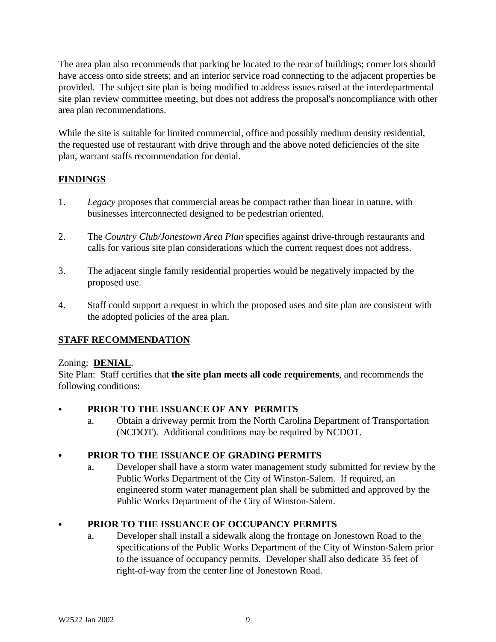The area plan also recommends that parking be located to the rear of buildings; corner lots should have access onto side streets; and an interior service road connecting to the adjacent properties be provided. The subject site plan is being modified to address issues raised at the interdepartmental site plan review committee meeting, but does not address the proposal's noncompliance with other area plan recommendations.

While the site is suitable for limited commercial, office and possibly medium density residential, the requested use of restaurant with drive through and the above noted deficiencies of the site plan, warrant staffs recommendation for denial.

# **FINDINGS**

- 1. *Legacy* proposes that commercial areas be compact rather than linear in nature, with businesses interconnected designed to be pedestrian oriented.
- 2. The *Country Club/Jonestown Area Plan* specifies against drive-through restaurants and calls for various site plan considerations which the current request does not address.
- 3. The adjacent single family residential properties would be negatively impacted by the proposed use.
- 4. Staff could support a request in which the proposed uses and site plan are consistent with the adopted policies of the area plan.

# **STAFF RECOMMENDATION**

# Zoning: **DENIAL**.

Site Plan: Staff certifies that **the site plan meets all code requirements**, and recommends the following conditions:

# PRIOR TO THE ISSUANCE OF ANY PERMITS

a. Obtain a driveway permit from the North Carolina Department of Transportation (NCDOT). Additional conditions may be required by NCDOT.

# C **PRIOR TO THE ISSUANCE OF GRADING PERMITS**

a. Developer shall have a storm water management study submitted for review by the Public Works Department of the City of Winston-Salem. If required, an engineered storm water management plan shall be submitted and approved by the Public Works Department of the City of Winston-Salem.

# C **PRIOR TO THE ISSUANCE OF OCCUPANCY PERMITS**

a. Developer shall install a sidewalk along the frontage on Jonestown Road to the specifications of the Public Works Department of the City of Winston-Salem prior to the issuance of occupancy permits. Developer shall also dedicate 35 feet of right-of-way from the center line of Jonestown Road.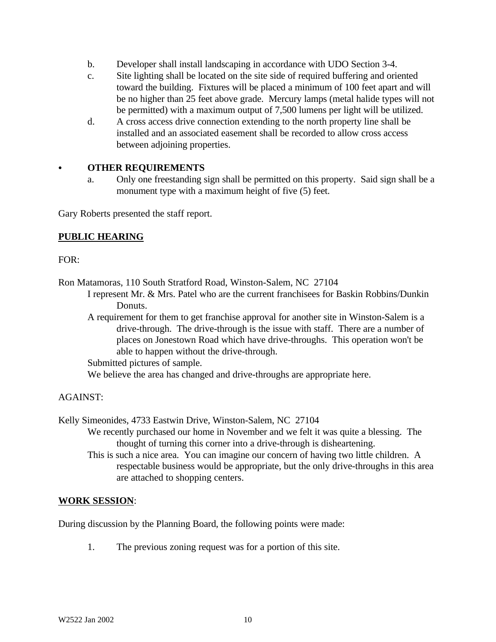- b. Developer shall install landscaping in accordance with UDO Section 3-4.
- c. Site lighting shall be located on the site side of required buffering and oriented toward the building. Fixtures will be placed a minimum of 100 feet apart and will be no higher than 25 feet above grade. Mercury lamps (metal halide types will not be permitted) with a maximum output of 7,500 lumens per light will be utilized.
- d. A cross access drive connection extending to the north property line shall be installed and an associated easement shall be recorded to allow cross access between adjoining properties.

## C **OTHER REQUIREMENTS**

a. Only one freestanding sign shall be permitted on this property. Said sign shall be a monument type with a maximum height of five (5) feet.

Gary Roberts presented the staff report.

## **PUBLIC HEARING**

 $FOR:$ 

Ron Matamoras, 110 South Stratford Road, Winston-Salem, NC 27104

- I represent Mr. & Mrs. Patel who are the current franchisees for Baskin Robbins/Dunkin Donuts.
- A requirement for them to get franchise approval for another site in Winston-Salem is a drive-through. The drive-through is the issue with staff. There are a number of places on Jonestown Road which have drive-throughs. This operation won't be able to happen without the drive-through.

Submitted pictures of sample.

We believe the area has changed and drive-throughs are appropriate here.

# AGAINST:

Kelly Simeonides, 4733 Eastwin Drive, Winston-Salem, NC 27104

- We recently purchased our home in November and we felt it was quite a blessing. The thought of turning this corner into a drive-through is disheartening.
	- This is such a nice area. You can imagine our concern of having two little children. A respectable business would be appropriate, but the only drive-throughs in this area are attached to shopping centers.

### **WORK SESSION**:

During discussion by the Planning Board, the following points were made:

1. The previous zoning request was for a portion of this site.